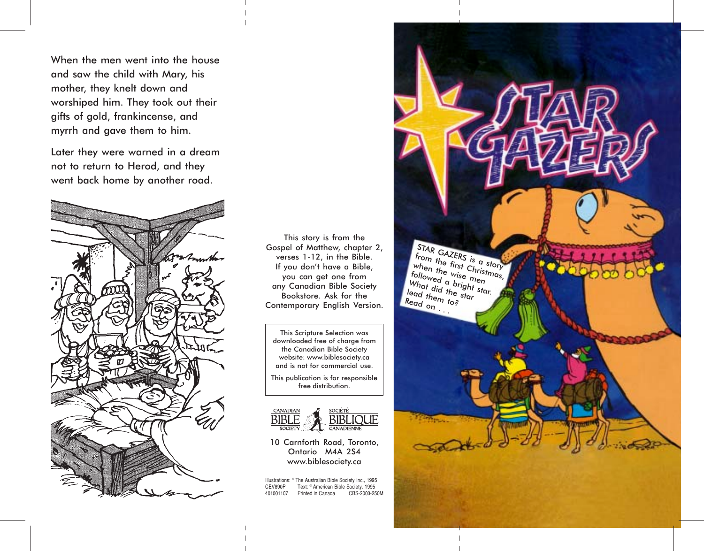When the men went into the house and saw the child with Mary, his mother, they knelt down and worshiped him. They took out their gifts of gold, frankincense, and myrrh and gave them to him.

Later they were warned in a dream not to return to Herod, and they went back home by another road.



This story is from the Gospel of Matthew, chapter 2, verses 1-12, in the Bible. If you don't have a Bible, you can get one from any Canadian Bible Society Bookstore. Ask for the Contemporary English Version.

This Scripture Selection was downloaded free of charge from the Canadian Bible Society website: www.biblesociety.ca and is not for commercial use.

This publication is for responsible free distribution.



10 Carnforth Road, Toronto, Ontario M4A 2S4 www.biblesociety.ca

Illustrations: ® The Australian Bible Society Inc., 1995 Text: ® American Bible Society, 1995 CEV890P CBS-2003-250M 401001107 Printed in Canada